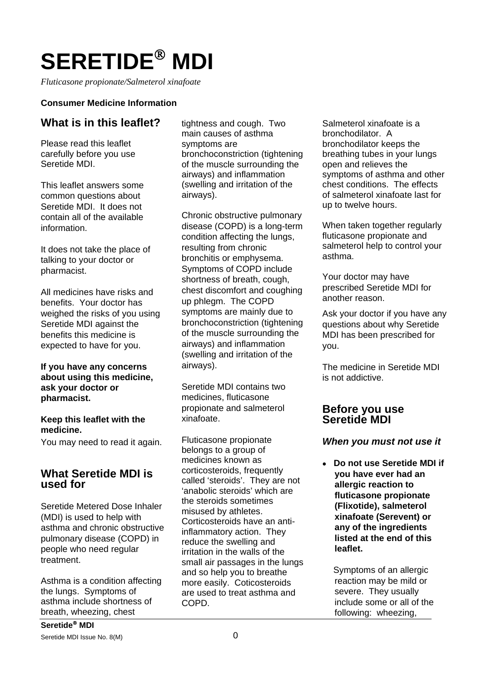# **SERETIDE**® **MDI**

*Fluticasone propionate/Salmeterol xinafoate* 

#### **Consumer Medicine Information**

## **What is in this leaflet?**

Please read this leaflet carefully before you use Seretide MDI.

This leaflet answers some common questions about Seretide MDI. It does not contain all of the available information.

It does not take the place of talking to your doctor or pharmacist.

All medicines have risks and benefits. Your doctor has weighed the risks of you using Seretide MDI against the benefits this medicine is expected to have for you.

#### **If you have any concerns about using this medicine, ask your doctor or pharmacist.**

#### **Keep this leaflet with the medicine.**

You may need to read it again.

## **What Seretide MDI is used for**

Seretide Metered Dose Inhaler (MDI) is used to help with asthma and chronic obstructive pulmonary disease (COPD) in people who need regular treatment.

Asthma is a condition affecting the lungs. Symptoms of asthma include shortness of breath, wheezing, chest

tightness and cough. Two main causes of asthma symptoms are bronchoconstriction (tightening of the muscle surrounding the airways) and inflammation (swelling and irritation of the airways).

Chronic obstructive pulmonary disease (COPD) is a long-term condition affecting the lungs, resulting from chronic bronchitis or emphysema. Symptoms of COPD include shortness of breath, cough, chest discomfort and coughing up phlegm. The COPD symptoms are mainly due to bronchoconstriction (tightening of the muscle surrounding the airways) and inflammation (swelling and irritation of the airways).

Seretide MDI contains two medicines, fluticasone propionate and salmeterol xinafoate.

Fluticasone propionate belongs to a group of medicines known as corticosteroids, frequently called 'steroids'. They are not 'anabolic steroids' which are the steroids sometimes misused by athletes. Corticosteroids have an antiinflammatory action. They reduce the swelling and irritation in the walls of the small air passages in the lungs and so help you to breathe more easily. Coticosteroids are used to treat asthma and COPD.

Salmeterol xinafoate is a bronchodilator. A bronchodilator keeps the breathing tubes in your lungs open and relieves the symptoms of asthma and other chest conditions. The effects of salmeterol xinafoate last for up to twelve hours.

When taken together regularly fluticasone propionate and salmeterol help to control your asthma.

Your doctor may have prescribed Seretide MDI for another reason.

Ask your doctor if you have any questions about why Seretide MDI has been prescribed for you.

The medicine in Seretide MDI is not addictive.

## **Before you use Seretide MDI**

#### *When you must not use it*

• **Do not use Seretide MDI if you have ever had an allergic reaction to fluticasone propionate (Flixotide), salmeterol xinafoate (Serevent) or any of the ingredients listed at the end of this leaflet.** 

Symptoms of an allergic reaction may be mild or severe. They usually include some or all of the following: wheezing,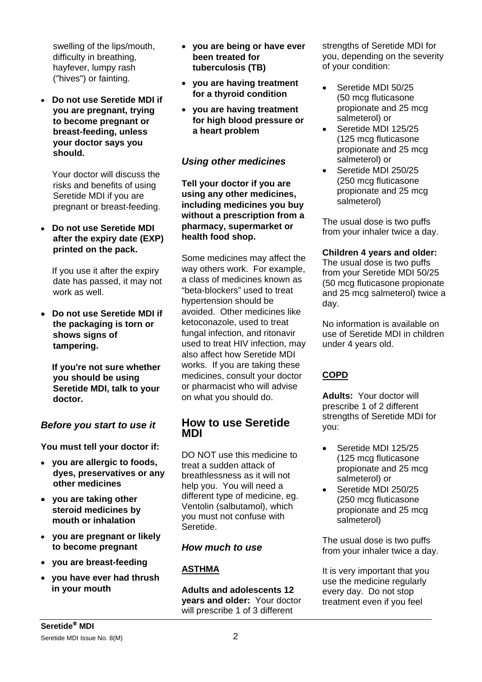swelling of the lips/mouth, difficulty in breathing, hayfever, lumpy rash ("hives") or fainting.

• **Do not use Seretide MDI if you are pregnant, trying to become pregnant or breast-feeding, unless your doctor says you should.**

 Your doctor will discuss the risks and benefits of using Seretide MDI if you are pregnant or breast-feeding.

• **Do not use Seretide MDI after the expiry date (EXP) printed on the pack.** 

 If you use it after the expiry date has passed, it may not work as well.

• **Do not use Seretide MDI if the packaging is torn or shows signs of tampering.** 

 **If you're not sure whether you should be using Seretide MDI, talk to your doctor.** 

## *Before you start to use it*

**You must tell your doctor if:**

- • **you are allergic to foods, dyes, preservatives or any other medicines**
- **you are taking other steroid medicines by mouth or inhalation**
- • **you are pregnant or likely to become pregnant**
- **you are breast-feeding**
- **you have ever had thrush in your mouth**
- **you are being or have ever been treated for tuberculosis (TB)**
- **you are having treatment for a thyroid condition**
- **you are having treatment for high blood pressure or a heart problem**

#### *Using other medicines*

**Tell your doctor if you are using any other medicines, including medicines you buy without a prescription from a pharmacy, supermarket or health food shop.** 

Some medicines may affect the way others work. For example, a class of medicines known as "beta-blockers" used to treat hypertension should be avoided. Other medicines like ketoconazole, used to treat fungal infection, and ritonavir used to treat HIV infection, may also affect how Seretide MDI works. If you are taking these medicines, consult your doctor or pharmacist who will advise on what you should do.

## **How to use Seretide MDI**

DO NOT use this medicine to treat a sudden attack of breathlessness as it will not help you. You will need a different type of medicine, eg. Ventolin (salbutamol), which you must not confuse with Seretide.

#### *How much to use*

#### **ASTHMA**

**Adults and adolescents 12 years and older:** Your doctor will prescribe 1 of 3 different

strengths of Seretide MDI for you, depending on the severity of your condition:

- Seretide MDI 50/25 (50 mcg fluticasone propionate and 25 mcg salmeterol) or
- Seretide MDI 125/25 (125 mcg fluticasone propionate and 25 mcg salmeterol) or
- Seretide MDI 250/25 (250 mcg fluticasone propionate and 25 mcg salmeterol)

The usual dose is two puffs from your inhaler twice a day.

#### **Children 4 years and older:**

The usual dose is two puffs from your Seretide MDI 50/25 (50 mcg fluticasone propionate and 25 mcg salmeterol) twice a day.

No information is available on use of Seretide MDI in children under 4 years old.

## **COPD**

**Adults:** Your doctor will prescribe 1 of 2 different strengths of Seretide MDI for you:

- Seretide MDI 125/25 (125 mcg fluticasone propionate and 25 mcg salmeterol) or
- Seretide MDI 250/25 (250 mcg fluticasone propionate and 25 mcg salmeterol)

The usual dose is two puffs from your inhaler twice a day.

It is very important that you use the medicine regularly every day. Do not stop treatment even if you feel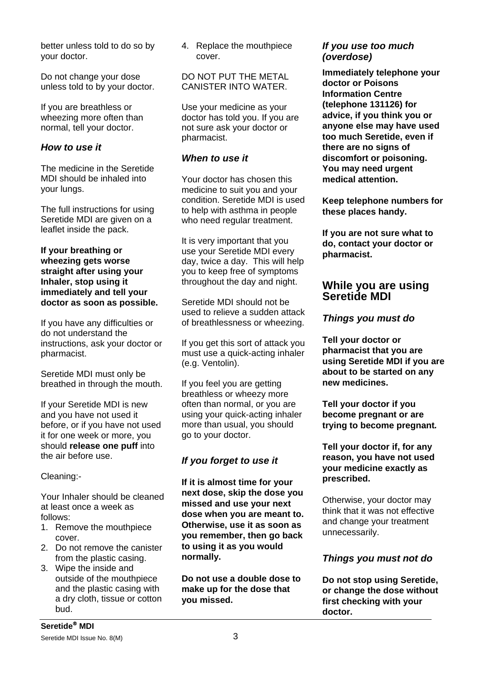better unless told to do so by your doctor.

Do not change your dose unless told to by your doctor.

If you are breathless or wheezing more often than normal, tell your doctor.

#### *How to use it*

The medicine in the Seretide MDI should be inhaled into your lungs.

The full instructions for using Seretide MDI are given on a leaflet inside the pack.

#### **If your breathing or wheezing gets worse straight after using your Inhaler, stop using it immediately and tell your doctor as soon as possible.**

If you have any difficulties or do not understand the instructions, ask your doctor or pharmacist.

Seretide MDI must only be breathed in through the mouth.

If your Seretide MDI is new and you have not used it before, or if you have not used it for one week or more, you should **release one puff** into the air before use.

Cleaning:-

Your Inhaler should be cleaned at least once a week as follows:

- 1. Remove the mouthpiece cover.
- 2. Do not remove the canister from the plastic casing.
- 3. Wipe the inside and outside of the mouthpiece and the plastic casing with a dry cloth, tissue or cotton bud.

4. Replace the mouthpiece cover.

#### DO NOT PUT THE METAL CANISTER INTO WATER.

Use your medicine as your doctor has told you. If you are not sure ask your doctor or pharmacist.

#### *When to use it*

Your doctor has chosen this medicine to suit you and your condition. Seretide MDI is used to help with asthma in people who need regular treatment.

It is very important that you use your Seretide MDI every day, twice a day. This will help you to keep free of symptoms throughout the day and night.

Seretide MDI should not be used to relieve a sudden attack of breathlessness or wheezing.

If you get this sort of attack you must use a quick-acting inhaler (e.g. Ventolin).

If you feel you are getting breathless or wheezy more often than normal, or you are using your quick-acting inhaler more than usual, you should go to your doctor.

# *If you forget to use it*

**If it is almost time for your next dose, skip the dose you missed and use your next dose when you are meant to. Otherwise, use it as soon as you remember, then go back to using it as you would normally.** 

**Do not use a double dose to make up for the dose that you missed.** 

#### *If you use too much (overdose)*

**Immediately telephone your doctor or Poisons Information Centre (telephone 131126) for advice, if you think you or anyone else may have used too much Seretide, even if there are no signs of discomfort or poisoning. You may need urgent medical attention.** 

**Keep telephone numbers for these places handy.** 

**If you are not sure what to do, contact your doctor or pharmacist.**

## **While you are using Seretide MDI**

## *Things you must do*

**Tell your doctor or pharmacist that you are using Seretide MDI if you are about to be started on any new medicines.** 

**Tell your doctor if you become pregnant or are trying to become pregnant***.*

**Tell your doctor if, for any reason, you have not used your medicine exactly as prescribed.** 

Otherwise, your doctor may think that it was not effective and change your treatment unnecessarily.

## *Things you must not do*

**Do not stop using Seretide, or change the dose without first checking with your doctor.**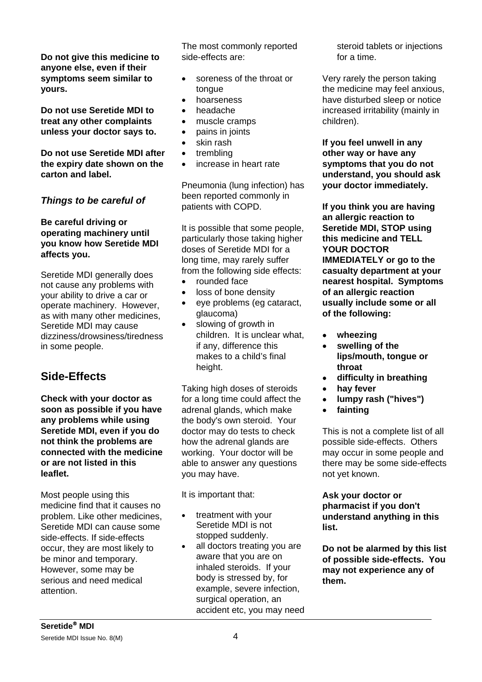**Do not give this medicine to anyone else, even if their symptoms seem similar to yours.** 

**Do not use Seretide MDI to treat any other complaints unless your doctor says to.** 

**Do not use Seretide MDI after the expiry date shown on the carton and label.** 

## *Things to be careful of*

#### **Be careful driving or operating machinery until you know how Seretide MDI affects you.**

Seretide MDI generally does not cause any problems with your ability to drive a car or operate machinery. However, as with many other medicines, Seretide MDI may cause dizziness/drowsiness/tiredness in some people.

# **Side-Effects**

**Check with your doctor as soon as possible if you have any problems while using Seretide MDI, even if you do not think the problems are connected with the medicine or are not listed in this leaflet.**

Most people using this medicine find that it causes no problem. Like other medicines, Seretide MDI can cause some side-effects. If side-effects occur, they are most likely to be minor and temporary. However, some may be serious and need medical attention.

The most commonly reported side-effects are:

- soreness of the throat or tongue
- hoarseness
- headache
- muscle cramps
- pains in joints
- skin rash
- trembling
- increase in heart rate

Pneumonia (lung infection) has been reported commonly in patients with COPD.

It is possible that some people, particularly those taking higher doses of Seretide MDI for a long time, may rarely suffer from the following side effects:

- rounded face
- loss of bone density
- eye problems (eg cataract, glaucoma)
- slowing of growth in children. It is unclear what, if any, difference this makes to a child's final height.

Taking high doses of steroids for a long time could affect the adrenal glands, which make the body's own steroid. Your doctor may do tests to check how the adrenal glands are working. Your doctor will be able to answer any questions you may have.

It is important that:

- treatment with your Seretide MDI is not stopped suddenly.
- all doctors treating you are aware that you are on inhaled steroids. If your body is stressed by, for example, severe infection, surgical operation, an accident etc, you may need

steroid tablets or injections for a time.

Very rarely the person taking the medicine may feel anxious, have disturbed sleep or notice increased irritability (mainly in children).

**If you feel unwell in any other way or have any symptoms that you do not understand, you should ask your doctor immediately.** 

**If you think you are having an allergic reaction to Seretide MDI, STOP using this medicine and TELL YOUR DOCTOR IMMEDIATELY or go to the casualty department at your nearest hospital. Symptoms of an allergic reaction usually include some or all of the following:** 

- • **wheezing**
- • **swelling of the lips/mouth, tongue or throat**
- • **difficulty in breathing**
- • **hay fever**
- • **lumpy rash ("hives")**
- • **fainting**

This is not a complete list of all possible side-effects. Others may occur in some people and there may be some side-effects not yet known.

**Ask your doctor or pharmacist if you don't understand anything in this list.** 

**Do not be alarmed by this list of possible side-effects. You may not experience any of them.**